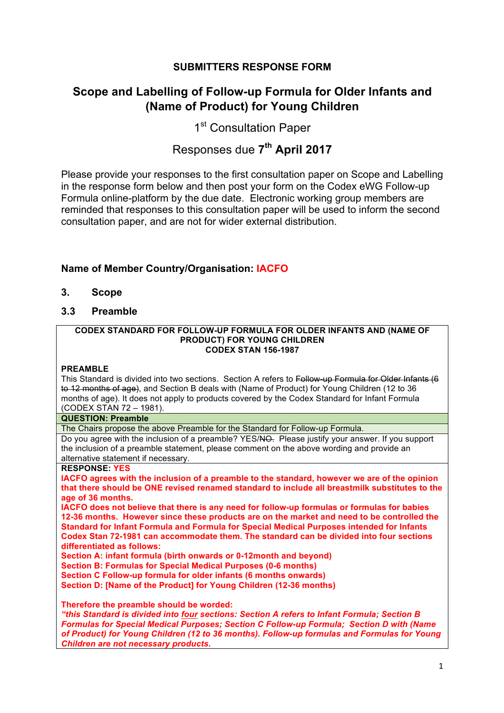## **SUBMITTERS RESPONSE FORM**

## **Scope and Labelling of Follow-up Formula for Older Infants and (Name of Product) for Young Children**

1<sup>st</sup> Consultation Paper

# Responses due **7th April 2017**

Please provide your responses to the first consultation paper on Scope and Labelling in the response form below and then post your form on the Codex eWG Follow-up Formula online-platform by the due date. Electronic working group members are reminded that responses to this consultation paper will be used to inform the second consultation paper, and are not for wider external distribution.

## **Name of Member Country/Organisation: IACFO**

- **3. Scope**
- **3.3 Preamble**

#### **CODEX STANDARD FOR FOLLOW-UP FORMULA FOR OLDER INFANTS AND (NAME OF PRODUCT) FOR YOUNG CHILDREN CODEX STAN 156-1987**

### **PREAMBLE**

This Standard is divided into two sections. Section A refers to Follow-up Formula for Older Infants (6 to 12 months of age), and Section B deals with (Name of Product) for Young Children (12 to 36 months of age). It does not apply to products covered by the Codex Standard for Infant Formula (CODEX STAN 72 – 1981).

### **QUESTION: Preamble**

The Chairs propose the above Preamble for the Standard for Follow-up Formula.

Do you agree with the inclusion of a preamble? YES/NO. Please justify your answer. If you support the inclusion of a preamble statement, please comment on the above wording and provide an alternative statement if necessary.

### **RESPONSE: YES**

**IACFO agrees with the inclusion of a preamble to the standard, however we are of the opinion that there should be ONE revised renamed standard to include all breastmilk substitutes to the age of 36 months.** 

**IACFO does not believe that there is any need for follow-up formulas or formulas for babies 12-36 months. However since these products are on the market and need to be controlled the Standard for Infant Formula and Formula for Special Medical Purposes intended for Infants Codex Stan 72-1981 can accommodate them. The standard can be divided into four sections differentiated as follows:**

**Section A: infant formula (birth onwards or 0-12month and beyond)**

**Section B: Formulas for Special Medical Purposes (0-6 months)**

**Section C Follow-up formula for older infants (6 months onwards)**

**Section D: [Name of the Product] for Young Children (12-36 months)**

**Therefore the preamble should be worded:**

*"this Standard is divided into four sections: Section A refers to Infant Formula; Section B Formulas for Special Medical Purposes; Section C Follow-up Formula; Section D with (Name of Product) for Young Children (12 to 36 months). Follow-up formulas and Formulas for Young Children are not necessary products.*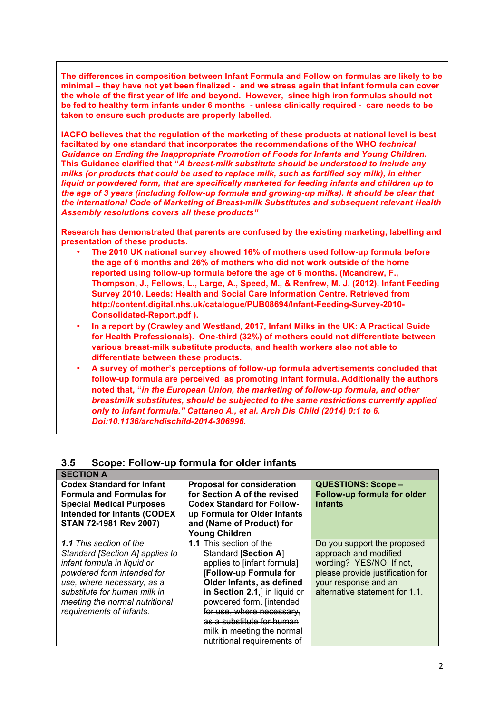**The differences in composition between Infant Formula and Follow on formulas are likely to be minimal – they have not yet been finalized - and we stress again that infant formula can cover the whole of the first year of life and beyond. However, since high iron formulas should not be fed to healthy term infants under 6 months - unless clinically required - care needs to be taken to ensure such products are properly labelled.**

**IACFO believes that the regulation of the marketing of these products at national level is best faciltated by one standard that incorporates the recommendations of the WHO** *technical Guidance on Ending the Inappropriate Promotion of Foods for Infants and Young Children***. This Guidance clarified that "***A breast-milk substitute should be understood to include any milks (or products that could be used to replace milk, such as fortified soy milk), in either liquid or powdered form, that are specifically marketed for feeding infants and children up to the age of 3 years (including follow-up formula and growing-up milks). It should be clear that the International Code of Marketing of Breast-milk Substitutes and subsequent relevant Health Assembly resolutions covers all these products"*

**Research has demonstrated that parents are confused by the existing marketing, labelling and presentation of these products.**

- **The 2010 UK national survey showed 16% of mothers used follow-up formula before the age of 6 months and 26% of mothers who did not work outside of the home reported using follow-up formula before the age of 6 months. (Mcandrew, F., Thompson, J., Fellows, L., Large, A., Speed, M., & Renfrew, M. J. (2012). Infant Feeding Survey 2010. Leeds: Health and Social Care Information Centre. Retrieved from http://content.digital.nhs.uk/catalogue/PUB08694/Infant-Feeding-Survey-2010- Consolidated-Report.pdf ).**
- **In a report by (Crawley and Westland, 2017, Infant Milks in the UK: A Practical Guide for Health Professionals). One-third (32%) of mothers could not differentiate between various breast-milk substitute products, and health workers also not able to differentiate between these products.**
- **A survey of mother's perceptions of follow-up formula advertisements concluded that follow-up formula are perceived as promoting infant formula. Additionally the authors noted that, "***in the European Union, the marketing of follow-up formula, and other breastmilk substitutes, should be subjected to the same restrictions currently applied only to infant formula." Cattaneo A., et al. Arch Dis Child (2014) 0:1 to 6. Doi:10.1136/archdischild-2014-306996.*

| <b>SECTION A</b>                   |                                   |                                  |
|------------------------------------|-----------------------------------|----------------------------------|
| <b>Codex Standard for Infant</b>   | <b>Proposal for consideration</b> | <b>QUESTIONS: Scope -</b>        |
| <b>Formula and Formulas for</b>    | for Section A of the revised      | Follow-up formula for older      |
| <b>Special Medical Purposes</b>    | <b>Codex Standard for Follow-</b> | <i>infants</i>                   |
| <b>Intended for Infants (CODEX</b> | up Formula for Older Infants      |                                  |
| STAN 72-1981 Rev 2007)             | and (Name of Product) for         |                                  |
|                                    | <b>Young Children</b>             |                                  |
| <b>1.1</b> This section of the     | <b>1.1</b> This section of the    | Do you support the proposed      |
| Standard [Section A] applies to    | <b>Standard [Section A]</b>       | approach and modified            |
| infant formula in liquid or        | applies to [infant formula]       | wording? YES/NO. If not,         |
| powdered form intended for         | [Follow-up Formula for            | please provide justification for |
| use, where necessary, as a         | Older Infants, as defined         | your response and an             |
| substitute for human milk in       | in Section 2.1,] in liquid or     | alternative statement for 1.1.   |
| meeting the normal nutritional     | powdered form. [intended          |                                  |
| requirements of infants.           | for use, where necessary,         |                                  |
|                                    | as a substitute for human         |                                  |
|                                    | milk in meeting the normal        |                                  |
|                                    | nutritional requirements of       |                                  |

## **3.5 Scope: Follow-up formula for older infants**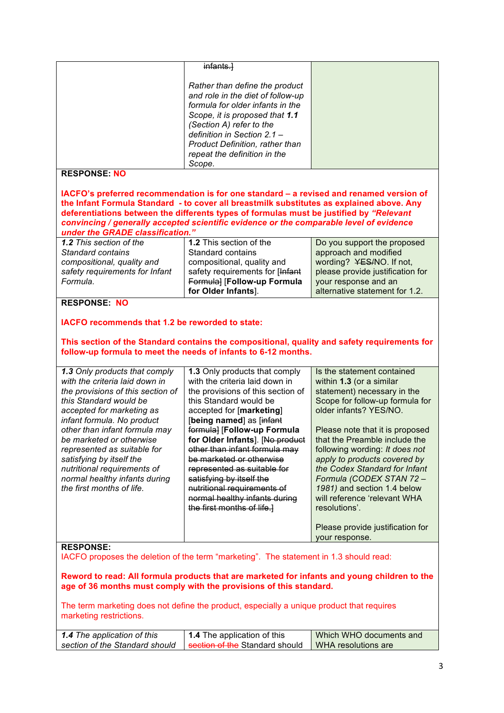|                                                                                                                                                                | infants.]                                                                                                                                                                            |                                                                |
|----------------------------------------------------------------------------------------------------------------------------------------------------------------|--------------------------------------------------------------------------------------------------------------------------------------------------------------------------------------|----------------------------------------------------------------|
|                                                                                                                                                                | Rather than define the product<br>and role in the diet of follow-up                                                                                                                  |                                                                |
|                                                                                                                                                                | formula for older infants in the                                                                                                                                                     |                                                                |
|                                                                                                                                                                | Scope, it is proposed that 1.1<br>(Section A) refer to the                                                                                                                           |                                                                |
|                                                                                                                                                                | definition in Section 2.1 -                                                                                                                                                          |                                                                |
|                                                                                                                                                                | <b>Product Definition, rather than</b>                                                                                                                                               |                                                                |
|                                                                                                                                                                | repeat the definition in the                                                                                                                                                         |                                                                |
|                                                                                                                                                                | Scope.                                                                                                                                                                               |                                                                |
| <b>RESPONSE: NO</b>                                                                                                                                            |                                                                                                                                                                                      |                                                                |
|                                                                                                                                                                | IACFO's preferred recommendation is for one standard – a revised and renamed version of<br>the Infant Formula Standard - to cover all breastmilk substitutes as explained above. Any |                                                                |
| under the GRADE classification."                                                                                                                               | deferentiations between the differents types of formulas must be justified by "Relevant<br>convincing / generally accepted scientific evidence or the comparable level of evidence   |                                                                |
| 1.2 This section of the                                                                                                                                        | 1.2 This section of the                                                                                                                                                              | Do you support the proposed                                    |
| <b>Standard contains</b>                                                                                                                                       | <b>Standard contains</b>                                                                                                                                                             | approach and modified                                          |
| compositional, quality and                                                                                                                                     | compositional, quality and                                                                                                                                                           | wording? YES/NO. If not,                                       |
| safety requirements for Infant<br>Formula.                                                                                                                     | safety requirements for [Infant<br>Formula] [Follow-up Formula                                                                                                                       | please provide justification for<br>your response and an       |
|                                                                                                                                                                | for Older Infants].                                                                                                                                                                  | alternative statement for 1.2.                                 |
| <b>RESPONSE: NO</b>                                                                                                                                            |                                                                                                                                                                                      |                                                                |
|                                                                                                                                                                |                                                                                                                                                                                      |                                                                |
| IACFO recommends that 1.2 be reworded to state:                                                                                                                |                                                                                                                                                                                      |                                                                |
|                                                                                                                                                                |                                                                                                                                                                                      |                                                                |
| This section of the Standard contains the compositional, quality and safety requirements for<br>follow-up formula to meet the needs of infants to 6-12 months. |                                                                                                                                                                                      |                                                                |
| 1.3 Only products that comply                                                                                                                                  | 1.3 Only products that comply                                                                                                                                                        | Is the statement contained                                     |
| with the criteria laid down in                                                                                                                                 | with the criteria laid down in                                                                                                                                                       | within 1.3 (or a similar                                       |
| the provisions of this section of<br>this Standard would be                                                                                                    | the provisions of this section of<br>this Standard would be                                                                                                                          | statement) necessary in the<br>Scope for follow-up formula for |
| accepted for marketing as                                                                                                                                      | accepted for [marketing]                                                                                                                                                             | older infants? YES/NO.                                         |
| infant formula. No product                                                                                                                                     | [being named] as [infant                                                                                                                                                             |                                                                |
| other than infant formula may                                                                                                                                  | formula] [Follow-up Formula                                                                                                                                                          | Please note that it is proposed                                |
| be marketed or otherwise                                                                                                                                       | for Older Infants]. [No product                                                                                                                                                      | that the Preamble include the                                  |
| represented as suitable for                                                                                                                                    | other than infant formula may                                                                                                                                                        |                                                                |
|                                                                                                                                                                |                                                                                                                                                                                      | following wording: It does not                                 |
| satisfying by itself the                                                                                                                                       | be marketed or otherwise                                                                                                                                                             | apply to products covered by                                   |
| nutritional requirements of<br>normal healthy infants during                                                                                                   | represented as suitable for<br>satisfying by itself the                                                                                                                              | the Codex Standard for Infant<br>Formula (CODEX STAN 72 -      |
| the first months of life.                                                                                                                                      | nutritional requirements of                                                                                                                                                          | 1981) and section 1.4 below                                    |
|                                                                                                                                                                | normal healthy infants during<br>the first months of life.]                                                                                                                          | will reference 'relevant WHA<br>resolutions'.                  |
|                                                                                                                                                                |                                                                                                                                                                                      | Please provide justification for<br>your response.             |
| <b>RESPONSE:</b>                                                                                                                                               |                                                                                                                                                                                      |                                                                |
|                                                                                                                                                                | IACFO proposes the deletion of the term "marketing". The statement in 1.3 should read:                                                                                               |                                                                |
|                                                                                                                                                                |                                                                                                                                                                                      |                                                                |
|                                                                                                                                                                | Reword to read: All formula products that are marketed for infants and young children to the<br>age of 36 months must comply with the provisions of this standard.                   |                                                                |
|                                                                                                                                                                |                                                                                                                                                                                      |                                                                |
|                                                                                                                                                                | The term marketing does not define the product, especially a unique product that requires                                                                                            |                                                                |
| marketing restrictions.                                                                                                                                        |                                                                                                                                                                                      |                                                                |
| 1.4 The application of this<br>section of the Standard should                                                                                                  | 1.4 The application of this<br>section of the Standard should                                                                                                                        | Which WHO documents and                                        |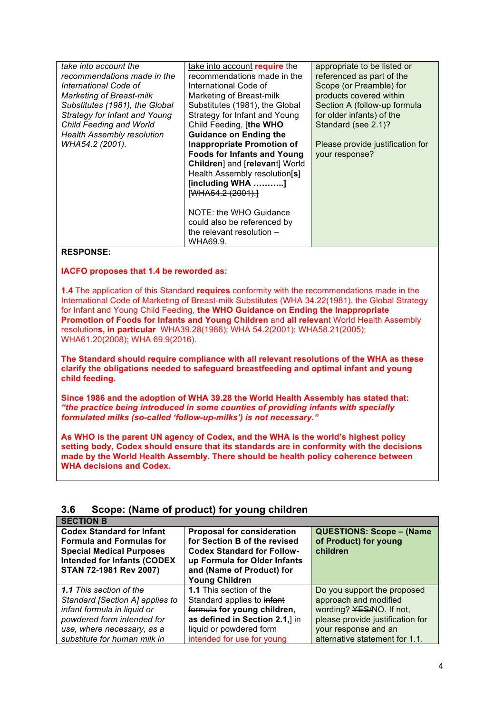| take into account the             | take into account require the      | appropriate to be listed or      |
|-----------------------------------|------------------------------------|----------------------------------|
| recommendations made in the       | recommendations made in the        | referenced as part of the        |
| International Code of             | International Code of              | Scope (or Preamble) for          |
| <b>Marketing of Breast-milk</b>   | Marketing of Breast-milk           | products covered within          |
| Substitutes (1981), the Global    | Substitutes (1981), the Global     | Section A (follow-up formula     |
| Strategy for Infant and Young     | Strategy for Infant and Young      | for older infants) of the        |
| Child Feeding and World           | Child Feeding, [the WHO            | Standard (see 2.1)?              |
| <b>Health Assembly resolution</b> | <b>Guidance on Ending the</b>      |                                  |
| WHA54.2 (2001).                   | <b>Inappropriate Promotion of</b>  | Please provide justification for |
|                                   | <b>Foods for Infants and Young</b> | your response?                   |
|                                   | Children] and [relevant] World     |                                  |
|                                   | Health Assembly resolution[s]      |                                  |
|                                   | [including WHA ]                   |                                  |
|                                   | [WHA54.2 (2001).]                  |                                  |
|                                   |                                    |                                  |
|                                   | NOTE: the WHO Guidance             |                                  |
|                                   | could also be referenced by        |                                  |
|                                   | the relevant resolution $-$        |                                  |
|                                   | WHA69.9.                           |                                  |
|                                   |                                    |                                  |

### **RESPONSE:**

#### **IACFO proposes that 1.4 be reworded as:**

**1.4** The application of this Standard **requires** conformity with the recommendations made in the International Code of Marketing of Breast-milk Substitutes (WHA 34.22(1981), the Global Strategy for Infant and Young Child Feeding, **the WHO Guidance on Ending the Inappropriate Promotion of Foods for Infants and Young Children** and **all relevan**t World Health Assembly resolution**s, in particular** WHA39.28(1986); WHA 54.2(2001); WHA58.21(2005); WHA61.20(2008); WHA 69.9(2016).

**The Standard should require compliance with all relevant resolutions of the WHA as these clarify the obligations needed to safeguard breastfeeding and optimal infant and young child feeding.**

**Since 1986 and the adoption of WHA 39.28 the World Health Assembly has stated that:** *"the practice being introduced in some counties of providing infants with specially formulated milks (so-called 'follow-up-milks') is not necessary."*

**As WHO is the parent UN agency of Codex, and the WHA is the world's highest policy setting body, Codex should ensure that its standards are in conformity with the decisions made by the World Health Assembly. There should be health policy coherence between WHA decisions and Codex.** 

### **3.6 Scope: (Name of product) for young children**

| <b>SECTION B</b>                   |                                   |                                  |
|------------------------------------|-----------------------------------|----------------------------------|
| <b>Codex Standard for Infant</b>   | <b>Proposal for consideration</b> | <b>QUESTIONS: Scope - (Name</b>  |
| <b>Formula and Formulas for</b>    | for Section B of the revised      | of Product) for young            |
| <b>Special Medical Purposes</b>    | <b>Codex Standard for Follow-</b> | children                         |
| <b>Intended for Infants (CODEX</b> | up Formula for Older Infants      |                                  |
| STAN 72-1981 Rev 2007)             | and (Name of Product) for         |                                  |
|                                    | <b>Young Children</b>             |                                  |
| <b>1.1</b> This section of the     | <b>1.1</b> This section of the    | Do you support the proposed      |
| Standard [Section A] applies to    | Standard applies to infant        | approach and modified            |
| infant formula in liquid or        | formula for young children,       | wording? YES/NO. If not,         |
| powdered form intended for         | as defined in Section 2.1,] in    | please provide justification for |
| use, where necessary, as a         | liquid or powdered form           | your response and an             |
| substitute for human milk in       | intended for use for young        | alternative statement for 1.1.   |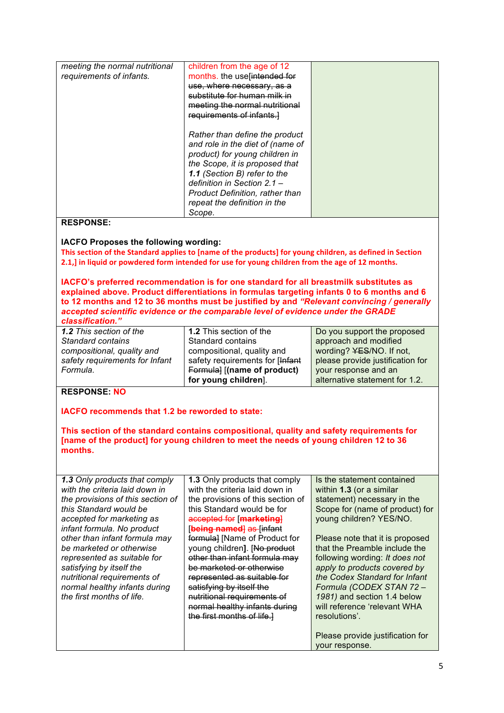| meeting the normal nutritional | children from the age of 12            |  |
|--------------------------------|----------------------------------------|--|
| requirements of infants.       | months. the use [intended for          |  |
|                                | use, where necessary, as a             |  |
|                                | substitute for human milk in           |  |
|                                | meeting the normal nutritional         |  |
|                                | requirements of infants.]              |  |
|                                |                                        |  |
|                                | Rather than define the product         |  |
|                                | and role in the diet of (name of       |  |
|                                | product) for young children in         |  |
|                                | the Scope, it is proposed that         |  |
|                                | 1.1 (Section B) refer to the           |  |
|                                | definition in Section 2.1 -            |  |
|                                | <b>Product Definition, rather than</b> |  |
|                                | repeat the definition in the           |  |
|                                | Scope.                                 |  |
|                                |                                        |  |

#### **RESPONSE:**

### **IACFO Proposes the following wording:**

This section of the Standard applies to [name of the products] for young children, as defined in Section 2.1,] in liquid or powdered form intended for use for young children from the age of 12 months.

**IACFO's preferred recommendation is for one standard for all breastmilk substitutes as explained above. Product differentiations in formulas targeting infants 0 to 6 months and 6 to 12 months and 12 to 36 months must be justified by and** *"Relevant convincing / generally accepted scientific evidence or the comparable level of evidence under the GRADE classification."*

*1.2 This section of the Standard contains compositional, quality and safety requirements for Infant Formula.* 

**1.2** This section of the Standard contains compositional, quality and safety requirements for [Infant Formula] [**(name of product) for young children**].

Do you support the proposed approach and modified wording? YES/NO. If not, please provide justification for your response and an alternative statement for 1.2.

### **RESPONSE: NO**

**IACFO recommends that 1.2 be reworded to state:**

**This section of the standard contains compositional, quality and safety requirements for [name of the product] for young children to meet the needs of young children 12 to 36 months.**

| <b>1.3 Only products that comply</b><br>with the criteria laid down in<br>the provisions of this section of<br>this Standard would be<br>accepted for marketing as<br>infant formula. No product<br>other than infant formula may<br>be marketed or otherwise<br>represented as suitable for<br>satisfying by itself the<br>nutritional requirements of<br>normal healthy infants during<br>the first months of life. | <b>1.3</b> Only products that comply<br>with the criteria laid down in<br>the provisions of this section of<br>this Standard would be for<br>accepted for [marketing]<br>[being named] as [infant<br>formula] [Name of Product for<br>young children]. [No product]<br>other than infant formula may<br>be marketed or otherwise<br>represented as suitable for<br>satisfying by itself the<br><del>nutritional requirements of</del><br>normal healthy infants during<br>the first months of life. | Is the statement contained<br>within 1.3 (or a similar<br>statement) necessary in the<br>Scope for (name of product) for<br>young children? YES/NO.<br>Please note that it is proposed<br>that the Preamble include the<br>following wording: It does not<br>apply to products covered by<br>the Codex Standard for Infant<br>Formula (CODEX STAN 72-<br>1981) and section 1.4 below<br>will reference 'relevant WHA<br>resolutions'.<br>Please provide justification for |
|-----------------------------------------------------------------------------------------------------------------------------------------------------------------------------------------------------------------------------------------------------------------------------------------------------------------------------------------------------------------------------------------------------------------------|-----------------------------------------------------------------------------------------------------------------------------------------------------------------------------------------------------------------------------------------------------------------------------------------------------------------------------------------------------------------------------------------------------------------------------------------------------------------------------------------------------|---------------------------------------------------------------------------------------------------------------------------------------------------------------------------------------------------------------------------------------------------------------------------------------------------------------------------------------------------------------------------------------------------------------------------------------------------------------------------|
|                                                                                                                                                                                                                                                                                                                                                                                                                       |                                                                                                                                                                                                                                                                                                                                                                                                                                                                                                     | your response.                                                                                                                                                                                                                                                                                                                                                                                                                                                            |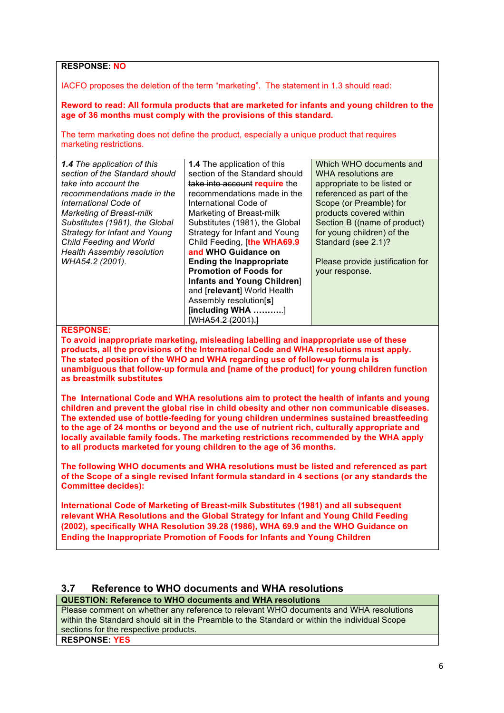**RESPONSE: NO**

IACFO proposes the deletion of the term "marketing". The statement in 1.3 should read:

**Reword to read: All formula products that are marketed for infants and young children to the age of 36 months must comply with the provisions of this standard.**

The term marketing does not define the product, especially a unique product that requires marketing restrictions.

| <b>1.4</b> The application of this | Which WHO documents and          |
|------------------------------------|----------------------------------|
| section of the Standard should     | WHA resolutions are              |
| take into account require the      | appropriate to be listed or      |
|                                    | referenced as part of the        |
| International Code of              | Scope (or Preamble) for          |
| Marketing of Breast-milk           | products covered within          |
| Substitutes (1981), the Global     | Section B ((name of product)     |
| Strategy for Infant and Young      | for young children) of the       |
| Child Feeding, [the WHA69.9        | Standard (see 2.1)?              |
| and WHO Guidance on                |                                  |
| <b>Ending the Inappropriate</b>    | Please provide justification for |
| <b>Promotion of Foods for</b>      | your response.                   |
| Infants and Young Children         |                                  |
| and [relevant] World Health        |                                  |
| Assembly resolution[s]             |                                  |
| $[including WHA$ ]                 |                                  |
| [WHA54.2 (2001).]                  |                                  |
|                                    | recommendations made in the      |

#### **RESPONSE:**

**To avoid inappropriate marketing, misleading labelling and inappropriate use of these products, all the provisions of the International Code and WHA resolutions must apply. The stated position of the WHO and WHA regarding use of follow-up formula is unambiguous that follow-up formula and [name of the product] for young children function as breastmilk substitutes**

**The International Code and WHA resolutions aim to protect the health of infants and young children and prevent the global rise in child obesity and other non communicable diseases. The extended use of bottle-feeding for young children undermines sustained breastfeeding to the age of 24 months or beyond and the use of nutrient rich, culturally appropriate and locally available family foods. The marketing restrictions recommended by the WHA apply to all products marketed for young children to the age of 36 months.**

**The following WHO documents and WHA resolutions must be listed and referenced as part of the Scope of a single revised Infant formula standard in 4 sections (or any standards the Committee decides):**

**International Code of Marketing of Breast-milk Substitutes (1981) and all subsequent relevant WHA Resolutions and the Global Strategy for Infant and Young Child Feeding (2002), specifically WHA Resolution 39.28 (1986), WHA 69.9 and the WHO Guidance on Ending the Inappropriate Promotion of Foods for Infants and Young Children**

### **3.7 Reference to WHO documents and WHA resolutions**

### **QUESTION: Reference to WHO documents and WHA resolutions**

Please comment on whether any reference to relevant WHO documents and WHA resolutions within the Standard should sit in the Preamble to the Standard or within the individual Scope sections for the respective products.

**RESPONSE: YES**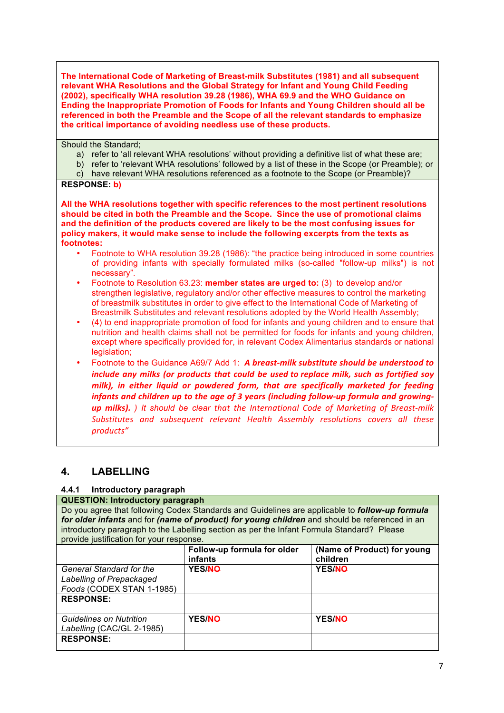**The International Code of Marketing of Breast-milk Substitutes (1981) and all subsequent relevant WHA Resolutions and the Global Strategy for Infant and Young Child Feeding (2002), specifically WHA resolution 39.28 (1986), WHA 69.9 and the WHO Guidance on Ending the Inappropriate Promotion of Foods for Infants and Young Children should all be referenced in both the Preamble and the Scope of all the relevant standards to emphasize the critical importance of avoiding needless use of these products.** 

Should the Standard;

- a) refer to 'all relevant WHA resolutions' without providing a definitive list of what these are;
- b) refer to 'relevant WHA resolutions' followed by a list of these in the Scope (or Preamble); or
- c) have relevant WHA resolutions referenced as a footnote to the Scope (or Preamble)?

### **RESPONSE: b)**

**All the WHA resolutions together with specific references to the most pertinent resolutions should be cited in both the Preamble and the Scope. Since the use of promotional claims and the definition of the products covered are likely to be the most confusing issues for policy makers, it would make sense to include the following excerpts from the texts as footnotes:**

- Footnote to WHA resolution 39.28 (1986): "the practice being introduced in some countries of providing infants with specially formulated milks (so-called "follow-up milks") is not necessary".
- Footnote to Resolution 63.23: **member states are urged to:** (3) to develop and/or strengthen legislative, regulatory and/or other effective measures to control the marketing of breastmilk substitutes in order to give effect to the International Code of Marketing of Breastmilk Substitutes and relevant resolutions adopted by the World Health Assembly;
- (4) to end inappropriate promotion of food for infants and young children and to ensure that nutrition and health claims shall not be permitted for foods for infants and young children, except where specifically provided for, in relevant Codex Alimentarius standards or national legislation;
- Footnote to the Guidance A69/7 Add 1: *A breast-milk substitute should be understood to include any milks (or products that could be used to replace milk, such as fortified soy milk), in either liquid or powdered form, that are specifically marketed for feeding infants and children up to the age of 3 years (including follow-up formula and growingup* milks). ) It should be clear that the International Code of Marketing of Breast-milk Substitutes and subsequent relevant Health Assembly resolutions covers all these *products"*

## **4. LABELLING**

### **4.4.1 Introductory paragraph**

### **QUESTION: Introductory paragraph**

Do you agree that following Codex Standards and Guidelines are applicable to *follow-up formula for older infants* and for *(name of product) for young children* and should be referenced in an introductory paragraph to the Labelling section as per the Infant Formula Standard? Please provide justification for your response.

|                                                                                          | Follow-up formula for older<br>infants | (Name of Product) for young<br>children |
|------------------------------------------------------------------------------------------|----------------------------------------|-----------------------------------------|
| <b>General Standard for the</b><br>Labelling of Prepackaged<br>Foods (CODEX STAN 1-1985) | YES/NO                                 | YES/NO                                  |
| <b>RESPONSE:</b>                                                                         |                                        |                                         |
| <b>Guidelines on Nutrition</b><br>Labelling (CAC/GL 2-1985)                              | YES/NO                                 | YES/NO                                  |
| <b>RESPONSE:</b>                                                                         |                                        |                                         |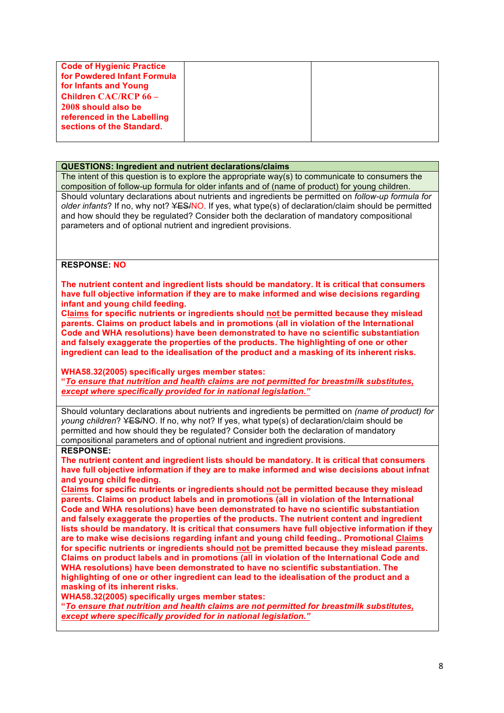| <b>Code of Hygienic Practice</b><br>for Powdered Infant Formula<br>for Infants and Young |  |
|------------------------------------------------------------------------------------------|--|
| <b>Children CAC/RCP 66 -</b><br>2008 should also be<br>referenced in the Labelling       |  |
| sections of the Standard.                                                                |  |

#### **QUESTIONS: Ingredient and nutrient declarations/claims**

The intent of this question is to explore the appropriate way(s) to communicate to consumers the composition of follow-up formula for older infants and of (name of product) for young children. Should voluntary declarations about nutrients and ingredients be permitted on *follow-up formula for older infants*? If no, why not? YES/NO. If yes, what type(s) of declaration/claim should be permitted and how should they be regulated? Consider both the declaration of mandatory compositional parameters and of optional nutrient and ingredient provisions.

**RESPONSE: NO**

**The nutrient content and ingredient lists should be mandatory. It is critical that consumers have full objective information if they are to make informed and wise decisions regarding infant and young child feeding.** 

**Claims for specific nutrients or ingredients should not be permitted because they mislead parents. Claims on product labels and in promotions (all in violation of the International Code and WHA resolutions) have been demonstrated to have no scientific substantiation and falsely exaggerate the properties of the products. The highlighting of one or other ingredient can lead to the idealisation of the product and a masking of its inherent risks.**

**WHA58.32(2005) specifically urges member states:**

**"***To ensure that nutrition and health claims are not permitted for breastmilk substitutes, except where specifically provided for in national legislation."* 

Should voluntary declarations about nutrients and ingredients be permitted on *(name of product) for young children*? YES/NO. If no, why not? If yes, what type(s) of declaration/claim should be permitted and how should they be regulated? Consider both the declaration of mandatory compositional parameters and of optional nutrient and ingredient provisions. **RESPONSE:**

**The nutrient content and ingredient lists should be mandatory. It is critical that consumers have full objective information if they are to make informed and wise decisions about infnat and young child feeding.** 

**Claims for specific nutrients or ingredients should not be permitted because they mislead parents. Claims on product labels and in promotions (all in violation of the International Code and WHA resolutions) have been demonstrated to have no scientific substantiation and falsely exaggerate the properties of the products. The nutrient content and ingredient lists should be mandatory. It is critical that consumers have full objective information if they are to make wise decisions regarding infant and young child feeding.. Promotional Claims for specific nutrients or ingredients should not be premitted because they mislead parents. Claims on product labels and in promotions (all in violation of the International Code and WHA resolutions) have been demonstrated to have no scientific substantiation. The highlighting of one or other ingredient can lead to the idealisation of the product and a masking of its inherent risks.**

**WHA58.32(2005) specifically urges member states:**

**"***To ensure that nutrition and health claims are not permitted for breastmilk substitutes, except where specifically provided for in national legislation."*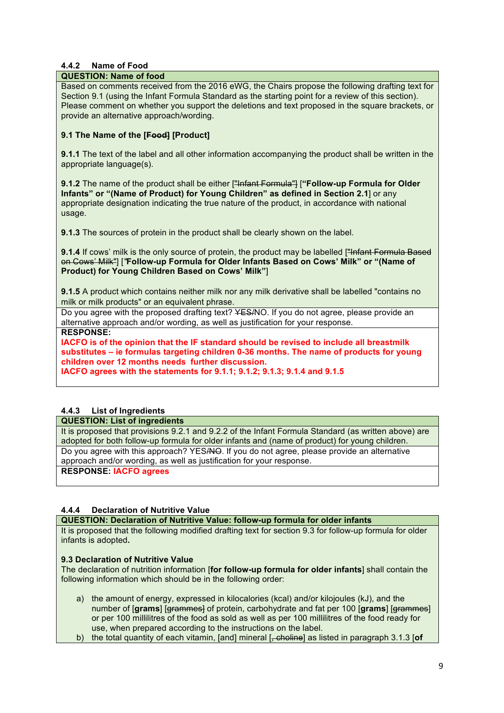### **4.4.2 Name of Food**

### **QUESTION: Name of food**

Based on comments received from the 2016 eWG, the Chairs propose the following drafting text for Section 9.1 (using the Infant Formula Standard as the starting point for a review of this section). Please comment on whether you support the deletions and text proposed in the square brackets, or provide an alternative approach/wording.

### **9.1 The Name of the [Food] [Product]**

**9.1.1** The text of the label and all other information accompanying the product shall be written in the appropriate language(s).

**9.1.2** The name of the product shall be either ["Infant Formula"] [**"Follow-up Formula for Older Infants" or "(Name of Product) for Young Children" as defined in Section 2.1**] or any appropriate designation indicating the true nature of the product, in accordance with national usage.

**9.1.3** The sources of protein in the product shall be clearly shown on the label.

**9.1.4** If cows' milk is the only source of protein, the product may be labelled ["Infant Formula Based"] on Cows' Milk"] [*"***Follow-up Formula for Older Infants Based on Cows' Milk" or "(Name of Product) for Young Children Based on Cows' Milk"**]

**9.1.5** A product which contains neither milk nor any milk derivative shall be labelled "contains no milk or milk products" or an equivalent phrase.

Do you agree with the proposed drafting text? ¥ES/NO. If you do not agree, please provide an alternative approach and/or wording, as well as justification for your response.

**RESPONSE:**

**IACFO is of the opinion that the IF standard should be revised to include all breastmilk substitutes – ie formulas targeting children 0-36 months. The name of products for young children over 12 months needs further discussion.** 

**IACFO agrees with the statements for 9.1.1; 9.1.2; 9.1.3; 9.1.4 and 9.1.5**

### **4.4.3 List of Ingredients**

### **QUESTION: List of ingredients**

It is proposed that provisions 9.2.1 and 9.2.2 of the Infant Formula Standard (as written above) are adopted for both follow-up formula for older infants and (name of product) for young children. Do you agree with this approach? YES/NO. If you do not agree, please provide an alternative approach and/or wording, as well as justification for your response.

**RESPONSE: IACFO agrees**

### **4.4.4 Declaration of Nutritive Value**

**QUESTION: Declaration of Nutritive Value: follow-up formula for older infants**

It is proposed that the following modified drafting text for section 9.3 for follow-up formula for older infants is adopted**.**

### **9.3 Declaration of Nutritive Value**

The declaration of nutrition information [**for follow-up formula for older infants**] shall contain the following information which should be in the following order:

- a) the amount of energy, expressed in kilocalories (kcal) and/or kilojoules (kJ), and the number of [**grams**] [grammes] of protein, carbohydrate and fat per 100 [**grams**] [grammes] or per 100 millilitres of the food as sold as well as per 100 millilitres of the food ready for use, when prepared according to the instructions on the label.
- b) the total quantity of each vitamin, [and] mineral [, choline] as listed in paragraph 3.1.3 [**of**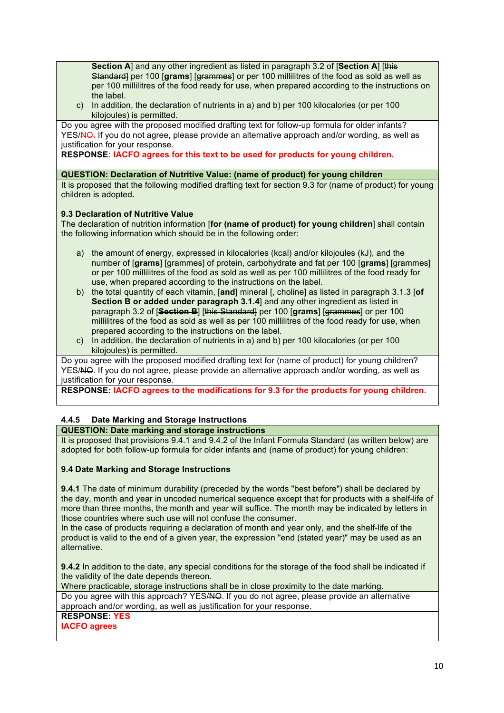**Section A**] and any other ingredient as listed in paragraph 3.2 of [**Section A**] [this Standard] per 100 [grams] [grammes] or per 100 millilitres of the food as sold as well as per 100 millilitres of the food ready for use, when prepared according to the instructions on the label.

c) In addition, the declaration of nutrients in a) and b) per 100 kilocalories (or per 100 kilojoules) is permitted.

Do you agree with the proposed modified drafting text for follow-up formula for older infants? YES/NO. If you do not agree, please provide an alternative approach and/or wording, as well as justification for your response.

**RESPONSE: IACFO agrees for this text to be used for products for young children.** 

### **QUESTION: Declaration of Nutritive Value: (name of product) for young children**

It is proposed that the following modified drafting text for section 9.3 for (name of product) for young children is adopted**.**

### **9.3 Declaration of Nutritive Value**

The declaration of nutrition information [**for (name of product) for young children**] shall contain the following information which should be in the following order:

- a) the amount of energy, expressed in kilocalories (kcal) and/or kilojoules (kJ), and the number of [**grams**] [grammes] of protein, carbohydrate and fat per 100 [**grams**] [grammes] or per 100 millilitres of the food as sold as well as per 100 millilitres of the food ready for use, when prepared according to the instructions on the label.
- b) the total quantity of each vitamin, [**and**] mineral [, choline] as listed in paragraph 3.1.3 [**of Section B or added under paragraph 3.1.4**] and any other ingredient as listed in paragraph 3.2 of [**Section B**] [this Standard] per 100 [**grams**] [grammes] or per 100 millilitres of the food as sold as well as per 100 millilitres of the food ready for use, when prepared according to the instructions on the label.
- c) In addition, the declaration of nutrients in a) and b) per 100 kilocalories (or per 100 kilojoules) is permitted.

Do you agree with the proposed modified drafting text for (name of product) for young children? YES/NO. If you do not agree, please provide an alternative approach and/or wording, as well as justification for your response.

**RESPONSE: IACFO agrees to the modifications for 9.3 for the products for young children.**

## **4.4.5 Date Marking and Storage Instructions**

### **QUESTION: Date marking and storage instructions**

It is proposed that provisions 9.4.1 and 9.4.2 of the Infant Formula Standard (as written below) are adopted for both follow-up formula for older infants and (name of product) for young children:

### **9.4 Date Marking and Storage Instructions**

**9.4.1** The date of minimum durability (preceded by the words "best before") shall be declared by the day, month and year in uncoded numerical sequence except that for products with a shelf-life of more than three months, the month and year will suffice. The month may be indicated by letters in those countries where such use will not confuse the consumer.

In the case of products requiring a declaration of month and year only, and the shelf-life of the product is valid to the end of a given year, the expression "end (stated year)" may be used as an alternative.

**9.4.2** In addition to the date, any special conditions for the storage of the food shall be indicated if the validity of the date depends thereon.

Where practicable, storage instructions shall be in close proximity to the date marking. Do you agree with this approach? YES/NO. If you do not agree, please provide an alternative approach and/or wording, as well as justification for your response.

**RESPONSE: YES**

**IACFO agrees**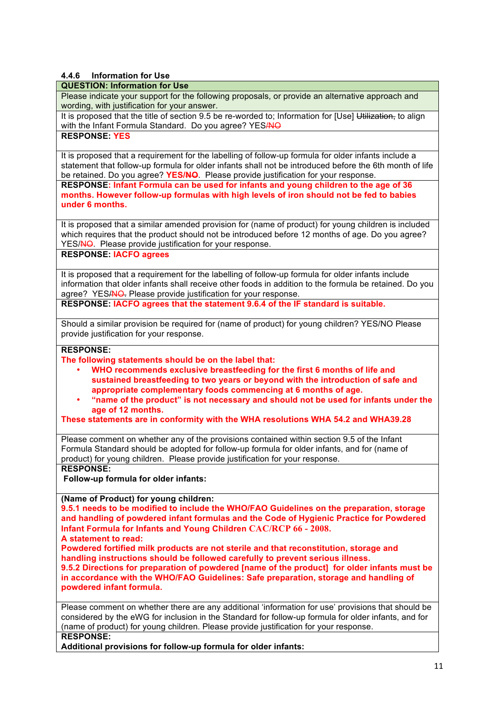### **4.4.6 Information for Use**

### **QUESTION: Information for Use**

Please indicate your support for the following proposals, or provide an alternative approach and wording, with justification for your answer.

It is proposed that the title of section 9.5 be re-worded to; Information for [Use] Utilization, to align with the Infant Formula Standard. Do you agree? YESANO

### **RESPONSE: YES**

It is proposed that a requirement for the labelling of follow-up formula for older infants include a statement that follow-up formula for older infants shall not be introduced before the 6th month of life be retained. Do you agree? **YES/NO**. Please provide justification for your response.

**RESPONSE: Infant Formula can be used for infants and young children to the age of 36 months. However follow-up formulas with high levels of iron should not be fed to babies under 6 months.**

It is proposed that a similar amended provision for (name of product) for young children is included which requires that the product should not be introduced before 12 months of age. Do you agree? YES/NO. Please provide justification for your response.

### **RESPONSE: IACFO agrees**

It is proposed that a requirement for the labelling of follow-up formula for older infants include information that older infants shall receive other foods in addition to the formula be retained. Do you agree? YES/NO. Please provide justification for your response.

**RESPONSE: IACFO agrees that the statement 9.6.4 of the IF standard is suitable.**

Should a similar provision be required for (name of product) for young children? YES/NO Please provide justification for your response.

### **RESPONSE:**

**The following statements should be on the label that:** 

- **WHO recommends exclusive breastfeeding for the first 6 months of life and sustained breastfeeding to two years or beyond with the introduction of safe and appropriate complementary foods commencing at 6 months of age.**
- **"name of the product" is not necessary and should not be used for infants under the age of 12 months.**

**These statements are in conformity with the WHA resolutions WHA 54.2 and WHA39.28**

Please comment on whether any of the provisions contained within section 9.5 of the Infant Formula Standard should be adopted for follow-up formula for older infants, and for (name of product) for young children. Please provide justification for your response.

### **RESPONSE:**

**Follow-up formula for older infants:**

**(Name of Product) for young children:**

**9.5.1 needs to be modified to include the WHO/FAO Guidelines on the preparation, storage and handling of powdered infant formulas and the Code of Hygienic Practice for Powdered Infant Formula for Infants and Young Children CAC/RCP 66 - 2008.**

**A statement to read:** 

**Powdered fortified milk products are not sterile and that reconstitution, storage and handling instructions should be followed carefully to prevent serious illness. 9.5.2 Directions for preparation of powdered [name of the product] for older infants must be in accordance with the WHO/FAO Guidelines: Safe preparation, storage and handling of** 

**powdered infant formula.**

Please comment on whether there are any additional 'information for use' provisions that should be considered by the eWG for inclusion in the Standard for follow-up formula for older infants, and for (name of product) for young children. Please provide justification for your response. **RESPONSE:**

**Additional provisions for follow-up formula for older infants:**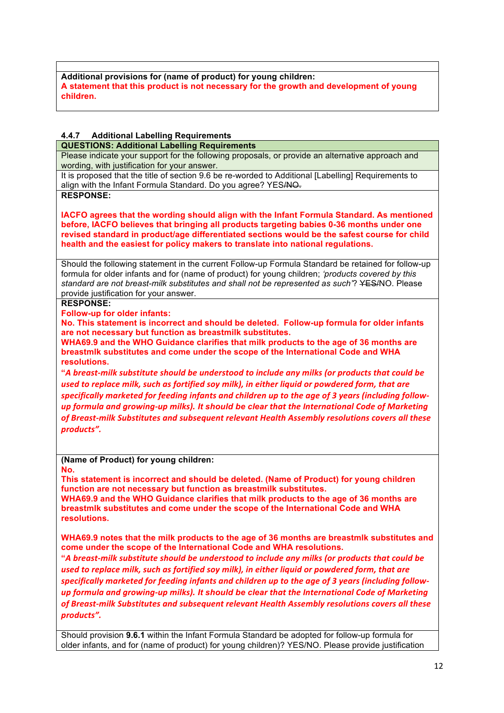**Additional provisions for (name of product) for young children: A statement that this product is not necessary for the growth and development of young children.** 

### **4.4.7 Additional Labelling Requirements**

**QUESTIONS: Additional Labelling Requirements**

Please indicate your support for the following proposals, or provide an alternative approach and wording, with justification for your answer.

It is proposed that the title of section 9.6 be re-worded to Additional [Labelling] Requirements to align with the Infant Formula Standard. Do you agree? YESANO.

**RESPONSE:**

**IACFO agrees that the wording should align with the Infant Formula Standard. As mentioned before, IACFO believes that bringing all products targeting babies 0-36 months under one revised standard in product/age differentiated sections would be the safest course for child health and the easiest for policy makers to translate into national regulations.**

Should the following statement in the current Follow-up Formula Standard be retained for follow-up formula for older infants and for (name of product) for young children; *'products covered by this standard are not breast-milk substitutes and shall not be represented as such'*? YES/NO. Please provide justification for your answer.

### **RESPONSE:**

**Follow-up for older infants:** 

**No. This statement is incorrect and should be deleted. Follow-up formula for older infants are not necessary but function as breastmilk substitutes.** 

**WHA69.9 and the WHO Guidance clarifies that milk products to the age of 36 months are breastmlk substitutes and come under the scope of the International Code and WHA resolutions.** 

**"***A breast-milk substitute should be understood to include any milks (or products that could be*  used to replace milk, such as fortified soy milk), in either liquid or powdered form, that are specifically marketed for feeding infants and children up to the age of 3 years (including followup formula and arowing-up milks). It should be clear that the International Code of Marketing of Breast-milk Substitutes and subsequent relevant Health Assembly resolutions covers all these *products".*

**(Name of Product) for young children:**

**No.** 

**This statement is incorrect and should be deleted. (Name of Product) for young children function are not necessary but function as breastmilk substitutes. WHA69.9 and the WHO Guidance clarifies that milk products to the age of 36 months are breastmlk substitutes and come under the scope of the International Code and WHA** 

**resolutions.** 

**WHA69.9 notes that the milk products to the age of 36 months are breastmlk substitutes and come under the scope of the International Code and WHA resolutions.** 

**"***A breast-milk substitute should be understood to include any milks (or products that could be*  used to replace milk, such as fortified soy milk), in either liquid or powdered form, that are specifically marketed for feeding infants and children up to the age of 3 years (including follow*up* formula and growing-up milks). It should be clear that the International Code of Marketing of *Breast-milk Substitutes and subsequent relevant Health Assembly resolutions covers all these products".*

Should provision **9.6.1** within the Infant Formula Standard be adopted for follow-up formula for older infants, and for (name of product) for young children)? YES/NO. Please provide justification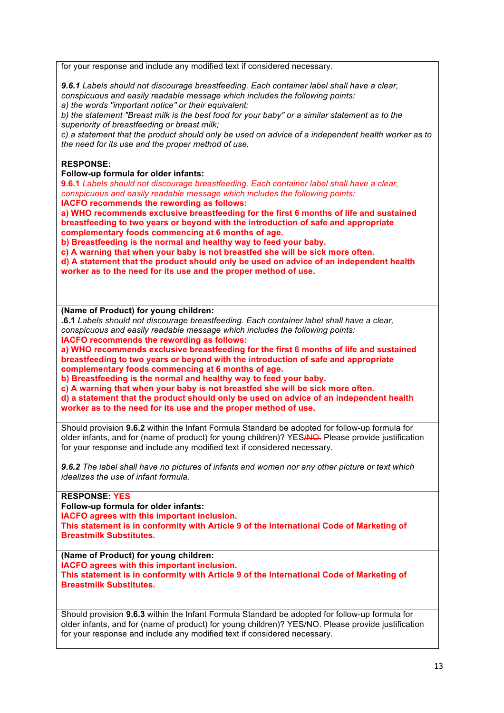for your response and include any modified text if considered necessary.

*9.6.1 Labels should not discourage breastfeeding. Each container label shall have a clear, conspicuous and easily readable message which includes the following points:*

*a) the words "important notice" or their equivalent;* 

*b) the statement "Breast milk is the best food for your baby" or a similar statement as to the superiority of breastfeeding or breast milk;* 

*c) a statement that the product should only be used on advice of a independent health worker as to the need for its use and the proper method of use.* 

## **RESPONSE:**

**Follow-up formula for older infants:**

**9.6.1** *Labels should not discourage breastfeeding. Each container label shall have a clear, conspicuous and easily readable message which includes the following points:*

**IACFO recommends the rewording as follows:** 

**a) WHO recommends exclusive breastfeeding for the first 6 months of life and sustained breastfeeding to two years or beyond with the introduction of safe and appropriate complementary foods commencing at 6 months of age.**

**b) Breastfeeding is the normal and healthy way to feed your baby.** 

**c) A warning that when your baby is not breastfed she will be sick more often.**

**d) A statement that the product should only be used on advice of an independent health worker as to the need for its use and the proper method of use.** 

**(Name of Product) for young children:**

**.6.1** *Labels should not discourage breastfeeding. Each container label shall have a clear, conspicuous and easily readable message which includes the following points:*

**IACFO recommends the rewording as follows:** 

**a) WHO recommends exclusive breastfeeding for the first 6 months of life and sustained breastfeeding to two years or beyond with the introduction of safe and appropriate complementary foods commencing at 6 months of age.**

**b) Breastfeeding is the normal and healthy way to feed your baby.** 

**c) A warning that when your baby is not breastfed she will be sick more often.**

**d) a statement that the product should only be used on advice of an independent health worker as to the need for its use and the proper method of use.** 

Should provision **9.6.2** within the Infant Formula Standard be adopted for follow-up formula for older infants, and for (name of product) for young children)? YESANO. Please provide justification for your response and include any modified text if considered necessary.

*9.6.2 The label shall have no pictures of infants and women nor any other picture or text which idealizes the use of infant formula.* 

### **RESPONSE: YES**

**Follow-up formula for older infants:**

**IACFO agrees with this important inclusion.**

**This statement is in conformity with Article 9 of the International Code of Marketing of Breastmilk Substitutes.**

**(Name of Product) for young children:**

**IACFO agrees with this important inclusion.**

**This statement is in conformity with Article 9 of the International Code of Marketing of Breastmilk Substitutes.**

Should provision **9.6.3** within the Infant Formula Standard be adopted for follow-up formula for older infants, and for (name of product) for young children)? YES/NO. Please provide justification for your response and include any modified text if considered necessary.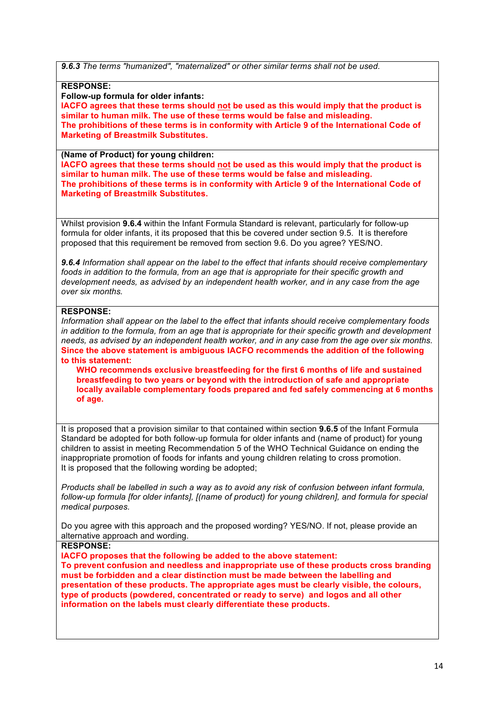*9.6.3 The terms "humanized", "maternalized" or other similar terms shall not be used.* 

**RESPONSE:**

**Follow-up formula for older infants:**

**IACFO agrees that these terms should not be used as this would imply that the product is similar to human milk. The use of these terms would be false and misleading. The prohibitions of these terms is in conformity with Article 9 of the International Code of Marketing of Breastmilk Substitutes.** 

#### **(Name of Product) for young children:**

**IACFO agrees that these terms should not be used as this would imply that the product is similar to human milk. The use of these terms would be false and misleading. The prohibitions of these terms is in conformity with Article 9 of the International Code of Marketing of Breastmilk Substitutes.** 

Whilst provision **9.6.4** within the Infant Formula Standard is relevant, particularly for follow-up formula for older infants, it its proposed that this be covered under section 9.5. It is therefore proposed that this requirement be removed from section 9.6. Do you agree? YES/NO.

*9.6.4 Information shall appear on the label to the effect that infants should receive complementary foods in addition to the formula, from an age that is appropriate for their specific growth and development needs, as advised by an independent health worker, and in any case from the age over six months.* 

### **RESPONSE:**

*Information shall appear on the label to the effect that infants should receive complementary foods in addition to the formula, from an age that is appropriate for their specific growth and development needs, as advised by an independent health worker, and in any case from the age over six months.*  **Since the above statement is ambiguous IACFO recommends the addition of the following to this statement:**

**WHO recommends exclusive breastfeeding for the first 6 months of life and sustained breastfeeding to two years or beyond with the introduction of safe and appropriate locally available complementary foods prepared and fed safely commencing at 6 months of age.**

It is proposed that a provision similar to that contained within section **9.6.5** of the Infant Formula Standard be adopted for both follow-up formula for older infants and (name of product) for young children to assist in meeting Recommendation 5 of the WHO Technical Guidance on ending the inappropriate promotion of foods for infants and young children relating to cross promotion. It is proposed that the following wording be adopted;

*Products shall be labelled in such a way as to avoid any risk of confusion between infant formula, follow-up formula [for older infants], [(name of product) for young children], and formula for special medical purposes.*

Do you agree with this approach and the proposed wording? YES/NO. If not, please provide an alternative approach and wording.

**RESPONSE:**

**IACFO proposes that the following be added to the above statement: To prevent confusion and needless and inappropriate use of these products cross branding must be forbidden and a clear distinction must be made between the labelling and presentation of these products. The appropriate ages must be clearly visible, the colours, type of products (powdered, concentrated or ready to serve) and logos and all other information on the labels must clearly differentiate these products.**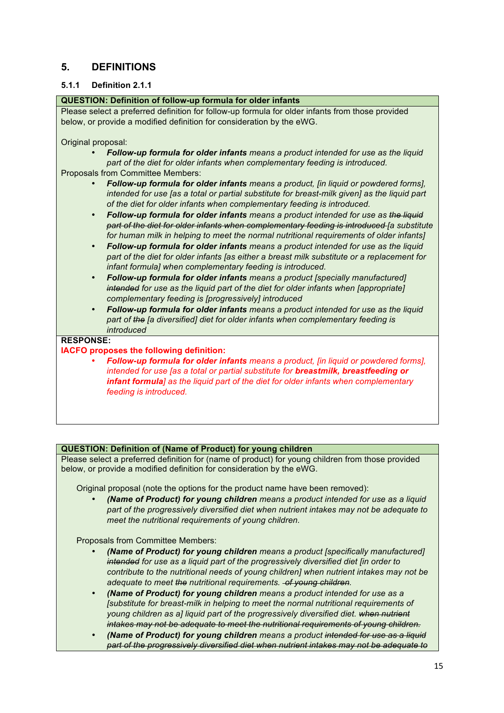## **5. DEFINITIONS**

### **5.1.1 Definition 2.1.1**

### **QUESTION: Definition of follow-up formula for older infants**

Please select a preferred definition for follow-up formula for older infants from those provided below, or provide a modified definition for consideration by the eWG.

#### Original proposal:

• *Follow-up formula for older infants means a product intended for use as the liquid part of the diet for older infants when complementary feeding is introduced.*

Proposals from Committee Members:

- *Follow-up formula for older infants means a product, [in liquid or powdered forms], intended for use [as a total or partial substitute for breast-milk given] as the liquid part of the diet for older infants when complementary feeding is introduced.*
- *Follow-up formula for older infants means a product intended for use as the liquid part of the diet for older infants when complementary feeding is introduced [a substitute for human milk in helping to meet the normal nutritional requirements of older infants]*
- *Follow-up formula for older infants means a product intended for use as the liquid part of the diet for older infants [as either a breast milk substitute or a replacement for infant formula] when complementary feeding is introduced.*
- *Follow-up formula for older infants means a product [specially manufactured] intended for use as the liquid part of the diet for older infants when [appropriate] complementary feeding is [progressively] introduced*
- *Follow-up formula for older infants means a product intended for use as the liquid part of the [a diversified] diet for older infants when complementary feeding is introduced*

### **RESPONSE:**

### **IACFO proposes the following definition:**

• *Follow-up formula for older infants means a product, [in liquid or powdered forms], intended for use [as a total or partial substitute for breastmilk, breastfeeding or infant formula] as the liquid part of the diet for older infants when complementary feeding is introduced.*

### **QUESTION: Definition of (Name of Product) for young children**

Please select a preferred definition for (name of product) for young children from those provided below, or provide a modified definition for consideration by the eWG.

Original proposal (note the options for the product name have been removed):

• *(Name of Product) for young children means a product intended for use as a liquid part of the progressively diversified diet when nutrient intakes may not be adequate to meet the nutritional requirements of young children.*

### Proposals from Committee Members:

- *(Name of Product) for young children means a product [specifically manufactured] intended for use as a liquid part of the progressively diversified diet [in order to contribute to the nutritional needs of young children] when nutrient intakes may not be adequate to meet the nutritional requirements. of young children.*
- *(Name of Product) for young children means a product intended for use as a [substitute for breast-milk in helping to meet the normal nutritional requirements of young children as a] liquid part of the progressively diversified diet. when nutrient intakes may not be adequate to meet the nutritional requirements of young children.*
- *(Name of Product) for young children means a product intended for use as a liquid part of the progressively diversified diet when nutrient intakes may not be adequate to*